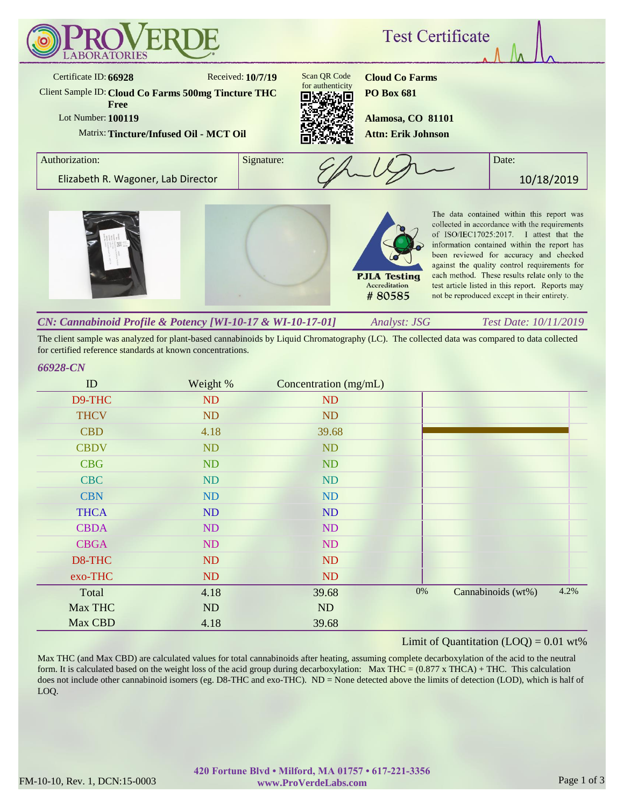

The client sample was analyzed for plant-based cannabinoids by Liquid Chromatography (LC). The collected data was compared to data collected for certified reference standards at known concentrations.

## *66928-CN*

| ID          | Weight % | Concentration (mg/mL) |       |                    |      |
|-------------|----------|-----------------------|-------|--------------------|------|
| D9-THC      | ND       | <b>ND</b>             |       |                    |      |
| <b>THCV</b> | ND       | <b>ND</b>             |       |                    |      |
| <b>CBD</b>  | 4.18     | 39.68                 |       |                    |      |
| <b>CBDV</b> | ND       | ND                    |       |                    |      |
| <b>CBG</b>  | ND       | ND                    |       |                    |      |
| <b>CBC</b>  | ND       | ND                    |       |                    |      |
| <b>CBN</b>  | ND       | <b>ND</b>             |       |                    |      |
| <b>THCA</b> | ND       | <b>ND</b>             |       |                    |      |
| <b>CBDA</b> | ND       | ND                    |       |                    |      |
| <b>CBGA</b> | ND       | ND                    |       |                    |      |
| D8-THC      | ND       | <b>ND</b>             |       |                    |      |
| exo-THC     | ND       | <b>ND</b>             |       |                    |      |
| Total       | 4.18     | 39.68                 | $0\%$ | Cannabinoids (wt%) | 4.2% |
| Max THC     | ND       | ND                    |       |                    |      |
| Max CBD     | 4.18     | 39.68                 |       |                    |      |

## Limit of Quantitation  $(LOQ) = 0.01$  wt%

Max THC (and Max CBD) are calculated values for total cannabinoids after heating, assuming complete decarboxylation of the acid to the neutral form. It is calculated based on the weight loss of the acid group during decarboxylation: Max THC =  $(0.877 \times THCA) + THC$ . This calculation does not include other cannabinoid isomers (eg. D8-THC and exo-THC). ND = None detected above the limits of detection (LOD), which is half of LOQ.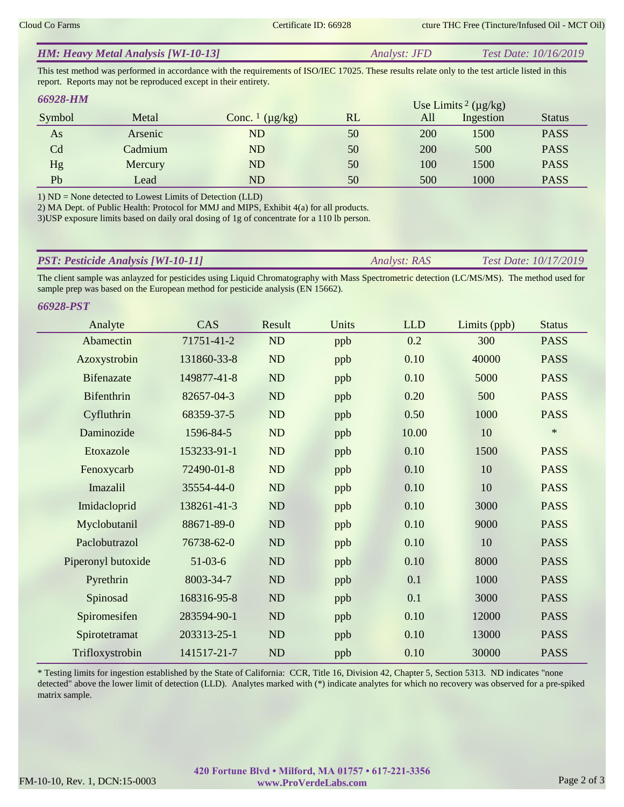| <b>HM: Heavy Metal Analysis [WI-10-13]</b> | <i>Analyst: JFD</i> | <i>Test Date: 10/16/2019</i> |
|--------------------------------------------|---------------------|------------------------------|
|                                            |                     |                              |

This test method was performed in accordance with the requirements of ISO/IEC 17025. These results relate only to the test article listed in this report. Reports may not be reproduced except in their entirety.

| <b>66928-HM</b> |         |                                     |    |     | Use Limits <sup>2</sup> ( $\mu$ g/kg) |               |
|-----------------|---------|-------------------------------------|----|-----|---------------------------------------|---------------|
| Symbol          | Metal   | Conc. $\frac{1}{\mu}$ ( $\mu$ g/kg) | RL | All | Ingestion                             | <b>Status</b> |
| As              | Arsenic | ND                                  | 50 | 200 | 1500                                  | <b>PASS</b>   |
| Cd              | Cadmium | ND                                  | 50 | 200 | 500                                   | <b>PASS</b>   |
| Hg              | Mercury | ND                                  | 50 | 100 | 1500                                  | <b>PASS</b>   |
| Pb              | Lead    | ND                                  | 50 | 500 | 1000                                  | <b>PASS</b>   |

1) ND = None detected to Lowest Limits of Detection (LLD)

2) MA Dept. of Public Health: Protocol for MMJ and MIPS, Exhibit 4(a) for all products.

3)USP exposure limits based on daily oral dosing of 1g of concentrate for a 110 lb person.

| <b>PST: Pesticide Analysis [WI-10-11]</b> | <i>Analyst: RAS</i> | <i>Test Date: 10/17/2019</i> |
|-------------------------------------------|---------------------|------------------------------|
|                                           |                     |                              |

The client sample was anlayzed for pesticides using Liquid Chromatography with Mass Spectrometric detection (LC/MS/MS). The method used for sample prep was based on the European method for pesticide analysis (EN 15662).

| 66928-PST          |             |           |       |            |              |               |
|--------------------|-------------|-----------|-------|------------|--------------|---------------|
| Analyte            | CAS         | Result    | Units | <b>LLD</b> | Limits (ppb) | <b>Status</b> |
| Abamectin          | 71751-41-2  | ND        | ppb   | 0.2        | 300          | <b>PASS</b>   |
| Azoxystrobin       | 131860-33-8 | ND        | ppb   | 0.10       | 40000        | <b>PASS</b>   |
| <b>Bifenazate</b>  | 149877-41-8 | <b>ND</b> | ppb   | 0.10       | 5000         | <b>PASS</b>   |
| Bifenthrin         | 82657-04-3  | ND        | ppb   | 0.20       | 500          | <b>PASS</b>   |
| Cyfluthrin         | 68359-37-5  | ND        | ppb   | 0.50       | 1000         | <b>PASS</b>   |
| Daminozide         | 1596-84-5   | ND        | ppb   | 10.00      | 10           | $\ast$        |
| Etoxazole          | 153233-91-1 | ND        | ppb   | 0.10       | 1500         | <b>PASS</b>   |
| Fenoxycarb         | 72490-01-8  | ND        | ppb   | 0.10       | 10           | <b>PASS</b>   |
| Imazalil           | 35554-44-0  | <b>ND</b> | ppb   | 0.10       | 10           | <b>PASS</b>   |
| Imidacloprid       | 138261-41-3 | <b>ND</b> | ppb   | 0.10       | 3000         | <b>PASS</b>   |
| Myclobutanil       | 88671-89-0  | ND        | ppb   | 0.10       | 9000         | <b>PASS</b>   |
| Paclobutrazol      | 76738-62-0  | ND        | ppb   | 0.10       | 10           | <b>PASS</b>   |
| Piperonyl butoxide | $51-03-6$   | ND        | ppb   | 0.10       | 8000         | <b>PASS</b>   |
| Pyrethrin          | 8003-34-7   | ND        | ppb   | 0.1        | 1000         | <b>PASS</b>   |
| Spinosad           | 168316-95-8 | <b>ND</b> | ppb   | 0.1        | 3000         | <b>PASS</b>   |
| Spiromesifen       | 283594-90-1 | ND        | ppb   | 0.10       | 12000        | <b>PASS</b>   |
| Spirotetramat      | 203313-25-1 | <b>ND</b> | ppb   | 0.10       | 13000        | <b>PASS</b>   |
| Trifloxystrobin    | 141517-21-7 | <b>ND</b> | ppb   | 0.10       | 30000        | <b>PASS</b>   |

\* Testing limits for ingestion established by the State of California: CCR, Title 16, Division 42, Chapter 5, Section 5313. ND indicates "none detected" above the lower limit of detection (LLD). Analytes marked with (\*) indicate analytes for which no recovery was observed for a pre-spiked matrix sample.